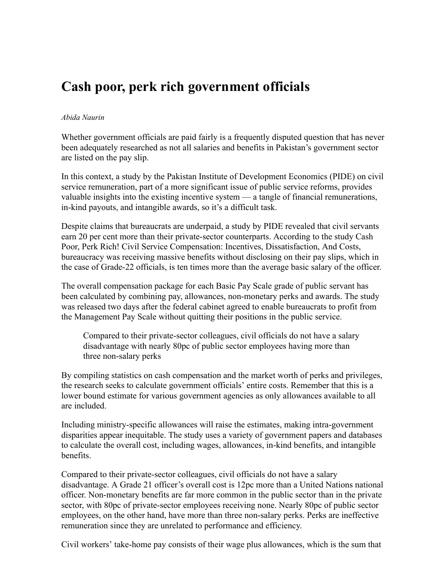## **Cash poor, perk rich government officials**

## *Abida Naurin*

Whether government officials are paid fairly is a frequently disputed question that has never been adequately researched as not all salaries and benefits in Pakistan's government sector are listed on the pay slip.

In this context, a study by the Pakistan Institute of Development Economics (PIDE) on civil service remuneration, part of a more significant issue of public service reforms, provides valuable insights into the existing incentive system — a tangle of financial remunerations, in-kind payouts, and intangible awards, so it's a difficult task.

Despite claims that bureaucrats are underpaid, a study by PIDE revealed that civil servants earn 20 per cent more than their private-sector counterparts. According to the study Cash Poor, Perk Rich! Civil Service Compensation: Incentives, Dissatisfaction, And Costs, bureaucracy was receiving massive benefits without disclosing on their pay slips, which in the case of Grade-22 officials, is ten times more than the average basic salary of the officer.

The overall compensation package for each Basic Pay Scale grade of public servant has been calculated by combining pay, allowances, non-monetary perks and awards. The study was released two days after the federal cabinet agreed to enable bureaucrats to profit from the Management Pay Scale without quitting their positions in the public service.

Compared to their private-sector colleagues, civil officials do not have a salary disadvantage with nearly 80pc of public sector employees having more than three non-salary perks

By compiling statistics on cash compensation and the market worth of perks and privileges, the research seeks to calculate government officials' entire costs. Remember that this is a lower bound estimate for various government agencies as only allowances available to all are included.

Including ministry-specific allowances will raise the estimates, making intra-government disparities appear inequitable. The study uses a variety of government papers and databases to calculate the overall cost, including wages, allowances, in-kind benefits, and intangible benefits.

Compared to their private-sector colleagues, civil officials do not have a salary disadvantage. A Grade 21 officer's overall cost is 12pc more than a United Nations national officer. Non-monetary benefits are far more common in the public sector than in the private sector, with 80pc of private-sector employees receiving none. Nearly 80pc of public sector employees, on the other hand, have more than three non-salary perks. Perks are ineffective remuneration since they are unrelated to performance and efficiency.

Civil workers' take-home pay consists of their wage plus allowances, which is the sum that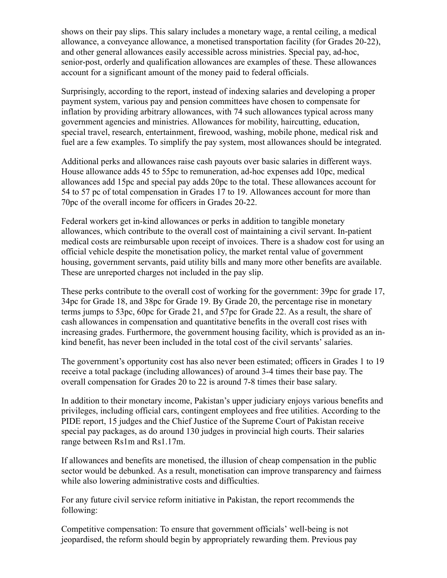shows on their pay slips. This salary includes a monetary wage, a rental ceiling, a medical allowance, a conveyance allowance, a monetised transportation facility (for Grades 20-22), and other general allowances easily accessible across ministries. Special pay, ad-hoc, senior-post, orderly and qualification allowances are examples of these. These allowances account for a significant amount of the money paid to federal officials.

Surprisingly, according to the report, instead of indexing salaries and developing a proper payment system, various pay and pension committees have chosen to compensate for inflation by providing arbitrary allowances, with 74 such allowances typical across many government agencies and ministries. Allowances for mobility, haircutting, education, special travel, research, entertainment, firewood, washing, mobile phone, medical risk and fuel are a few examples. To simplify the pay system, most allowances should be integrated.

Additional perks and allowances raise cash payouts over basic salaries in different ways. House allowance adds 45 to 55pc to remuneration, ad-hoc expenses add 10pc, medical allowances add 15pc and special pay adds 20pc to the total. These allowances account for 54 to 57 pc of total compensation in Grades 17 to 19. Allowances account for more than 70pc of the overall income for officers in Grades 20-22.

Federal workers get in-kind allowances or perks in addition to tangible monetary allowances, which contribute to the overall cost of maintaining a civil servant. In-patient medical costs are reimbursable upon receipt of invoices. There is a shadow cost for using an official vehicle despite the monetisation policy, the market rental value of government housing, government servants, paid utility bills and many more other benefits are available. These are unreported charges not included in the pay slip.

These perks contribute to the overall cost of working for the government: 39pc for grade 17, 34pc for Grade 18, and 38pc for Grade 19. By Grade 20, the percentage rise in monetary terms jumps to 53pc, 60pc for Grade 21, and 57pc for Grade 22. As a result, the share of cash allowances in compensation and quantitative benefits in the overall cost rises with increasing grades. Furthermore, the government housing facility, which is provided as an inkind benefit, has never been included in the total cost of the civil servants' salaries.

The government's opportunity cost has also never been estimated; officers in Grades 1 to 19 receive a total package (including allowances) of around 3-4 times their base pay. The overall compensation for Grades 20 to 22 is around 7-8 times their base salary.

In addition to their monetary income, Pakistan's upper judiciary enjoys various benefits and privileges, including official cars, contingent employees and free utilities. According to the PIDE report, 15 judges and the Chief Justice of the Supreme Court of Pakistan receive special pay packages, as do around 130 judges in provincial high courts. Their salaries range between Rs1m and Rs1.17m.

If allowances and benefits are monetised, the illusion of cheap compensation in the public sector would be debunked. As a result, monetisation can improve transparency and fairness while also lowering administrative costs and difficulties.

For any future civil service reform initiative in Pakistan, the report recommends the following:

Competitive compensation: To ensure that government officials' well-being is not jeopardised, the reform should begin by appropriately rewarding them. Previous pay